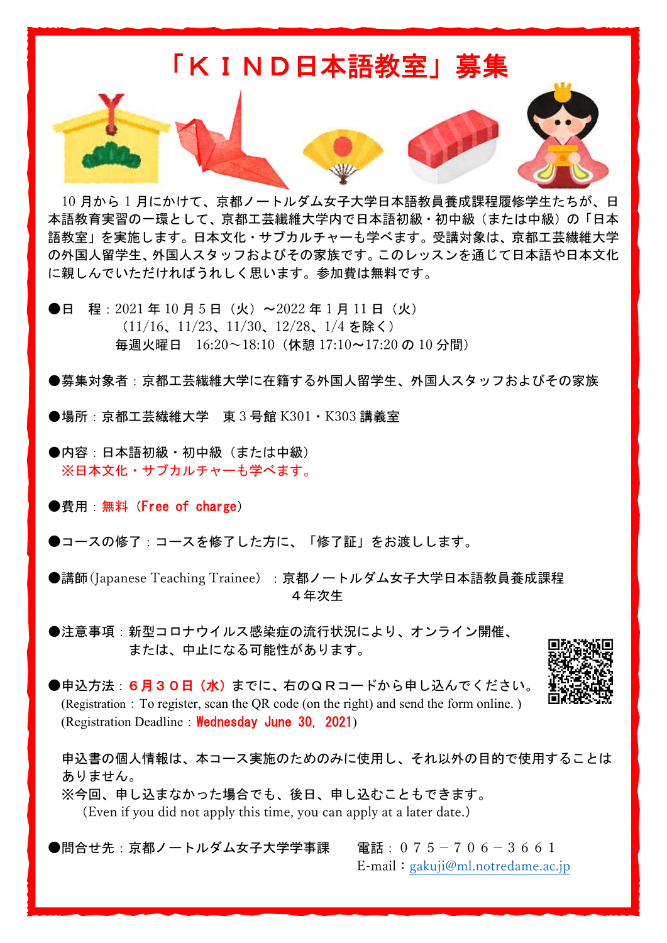

10 月から 1 月にかけて、京都ノートルダム女子大学日本語教員養成課程履修学生たちが、日 本語教育実習の一環として、京都工芸繊維大学内で日本語初級・初中級(または中級)の「日本 語教室」を実施します。日本文化・サブカルチャーも学べます。受講対象は、京都工芸繊維大学 の外国人留学生、外国人スタッフおよびその家族です。このレッスンを通じて日本語や日本文化 に親しんでいただければうれしく思います。参加費は無料です。

●日 程: 2021 年 10 月 5 日 (火) ~2022 年 1 月 11 日 (火) (11/16、11/23、11/30、12/28、1/4 を除く) 毎週火曜日 16:20~18:10(休憩 17:10~17:20 の 10 分間)

●募集対象者:京都工芸繊維大学に在籍する外国人留学生、外国人スタッフおよびその家族

●場所:京都工芸繊維大学 東 3 号館 K301・K303 講義室

●内容:日本語初級・初中級 (または中級) ※日本文化・サブカルチャーも学べます。

●費用:無料 (Free of charge)

●コースの修了:コースを修了した方に、「修了証」をお渡しします。

●講師(Japanese Teaching Trainee): 京都ノートルダム女子大学日本語教員養成課程 4年次生

●注意事項:新型コロナウイルス感染症の流行状況により、オンライン開催、 または、中止になる可能性があります。



●申込方法: 6月30日 (水) までに、右のQRコードから申し込んでください。 (Registration:To register, scan the QR code (on the right) and send the form online. ) (Registration Deadline: Wednesday June 30, 2021)

申込書の個人情報は、本コース実施のためのみに使用し、それ以外の目的で使用することは ありません。

※今回、申し込まなかった場合でも、後日、申し込むこともできます。 (Even if you did not apply this time, you can apply at a later date.)

●問合せ先:京都ノートルダム女子大学学事課 電話:075-706-3661 E-mail:gakuji@ml.notredame.ac.jp